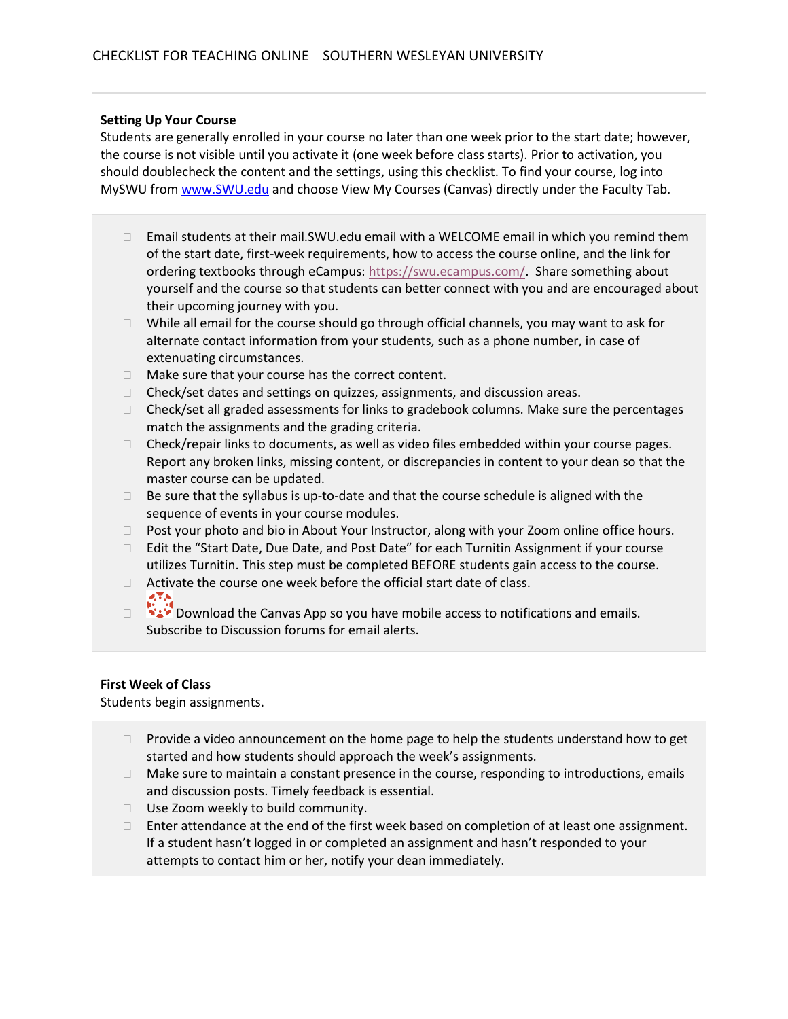## **Setting Up Your Course**

Students are generally enrolled in your course no later than one week prior to the start date; however, the course is not visible until you activate it (one week before class starts). Prior to activation, you should doublecheck the content and the settings, using this checklist. To find your course, log into MySWU from [www.SWU.edu](http://www.swu.edu/) and choose View My Courses (Canvas) directly under the Faculty Tab.

- $\Box$  Email students at their mail.SWU.edu email with a WELCOME email in which you remind them of the start date, first-week requirements, how to access the course online, and the link for ordering textbooks through eCampus: [https://swu.ecampus.com/.](https://swu.ecampus.com/) Share something about yourself and the course so that students can better connect with you and are encouraged about their upcoming journey with you.
- $\Box$  While all email for the course should go through official channels, you may want to ask for alternate contact information from your students, such as a phone number, in case of extenuating circumstances.
- $\Box$  Make sure that your course has the correct content.
- $\Box$  Check/set dates and settings on quizzes, assignments, and discussion areas.
- $\Box$  Check/set all graded assessments for links to gradebook columns. Make sure the percentages match the assignments and the grading criteria.
- $\Box$  Check/repair links to documents, as well as video files embedded within your course pages. Report any broken links, missing content, or discrepancies in content to your dean so that the master course can be updated.
- $\Box$  Be sure that the syllabus is up-to-date and that the course schedule is aligned with the sequence of events in your course modules.
- □ Post your photo and bio in About Your Instructor, along with your Zoom online office hours.
- □ Edit the "Start Date, Due Date, and Post Date" for each Turnitin Assignment if your course utilizes Turnitin. This step must be completed BEFORE students gain access to the course.
- $\Box$  Activate the course one week before the official start date of class.
- Download the Canvas App so you have mobile access to notifications and emails. Subscribe to Discussion forums for email alerts.

# **First Week of Class**

Students begin assignments.

- $\Box$  Provide a video announcement on the home page to help the students understand how to get started and how students should approach the week's assignments.
- $\Box$  Make sure to maintain a constant presence in the course, responding to introductions, emails and discussion posts. Timely feedback is essential.
- □ Use Zoom weekly to build community.
- $\Box$  Enter attendance at the end of the first week based on completion of at least one assignment. If a student hasn't logged in or completed an assignment and hasn't responded to your attempts to contact him or her, notify your dean immediately.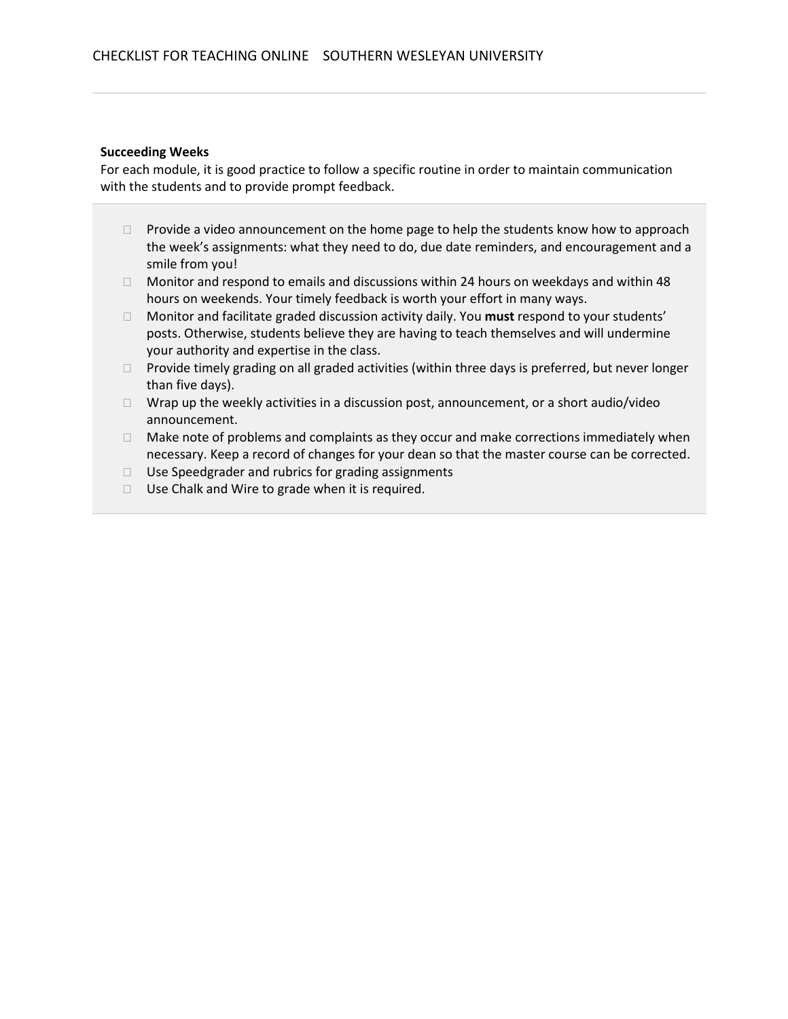### **Succeeding Weeks**

For each module, it is good practice to follow a specific routine in order to maintain communication with the students and to provide prompt feedback.

- $\Box$  Provide a video announcement on the home page to help the students know how to approach the week's assignments: what they need to do, due date reminders, and encouragement and a smile from you!
- $\Box$  Monitor and respond to emails and discussions within 24 hours on weekdays and within 48 hours on weekends. Your timely feedback is worth your effort in many ways.
- Monitor and facilitate graded discussion activity daily. You **must** respond to your students' posts. Otherwise, students believe they are having to teach themselves and will undermine your authority and expertise in the class.
- □ Provide timely grading on all graded activities (within three days is preferred, but never longer than five days).
- $\Box$  Wrap up the weekly activities in a discussion post, announcement, or a short audio/video announcement.
- $\Box$  Make note of problems and complaints as they occur and make corrections immediately when necessary. Keep a record of changes for your dean so that the master course can be corrected.
- $\Box$  Use Speedgrader and rubrics for grading assignments
- $\Box$  Use Chalk and Wire to grade when it is required.